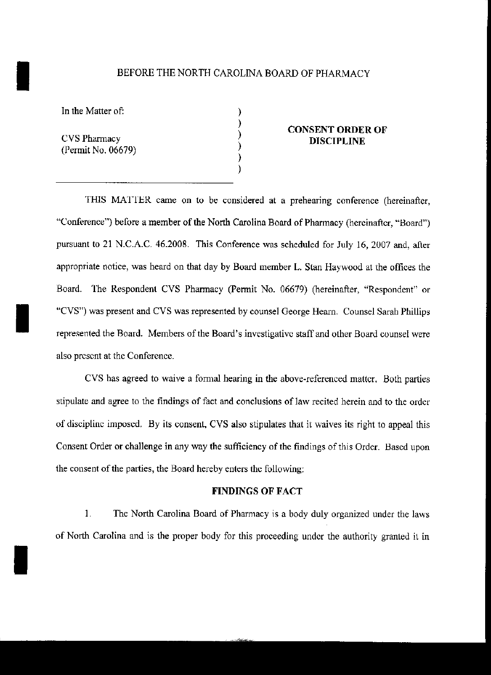### I BEFORE THE NORTH CAROLINA BOARD OF PHARMACY

) ) ) ) ) )

In the Matter of:

CVS Pharmacy (Permit No. 06679)

I

I

## CONSENT ORDER OF DISCIPLINE

THIS MATTER came on to be considered at a prehearing conference (hereinafter, "Conference") before a member of the North Carolina Board of Pharmacy (hereinafter, "Board") pursuant to 21 N.C.A.C. 46.2008. This Conference was scheduled for July 16, 2007 and, after appropriate notice, was heard on that day by Board member L. Stan Haywood at the offices the Board. The Respondent CVS Phannacy (Permit No. 06679) (hereinafter, "Respondent" or "CVS") was present and CVS was represented by counsel George Hearn. Counsel Sarah Phillips represented the Board. Members of the Board's investigative staff and other Board counsel were also present at the Conference.

CVS has agreed to waive a formal hearing in the above-referenced matter. Both parties stipulate and agree to the findings of fact and conclusions of law recited herein and to the order of discipline imposed. By its consent, CVS also stipulates that it waives its right to appeal this Consent Order or challenge in any way the sufficiency of the findings of this Order. Bascd upon the consent of the parties, the Board hereby enters the following:

#### FINDINGS OF FACT

1. The North Carolina Board of Pharmacy is a body duly organized under the laws of North Carolina and is the proper body for this proceeding under the authority granted it in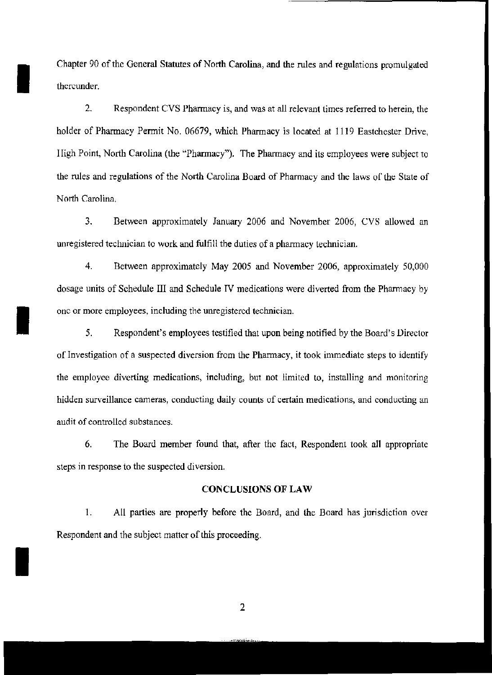Chapter 90 of the General Statutes of North Carolina, and the rules and regulations promulgated thereunder.

**I** 

I

I

2. Respondent CVS Pharmacy is, and was at all relevant times referred to herein, the holder of Pharmacy Permit No. 06679, which Pharmacy is located at 1119 Eastchester Drive, lligh Point, North Carolina (the "Pharmacy"). The Pharmacy and its employees were subject to the rules and regulations of the North Carolina Board of Pharmacy and the laws of the State of North Carolina.

3. Between approximately January 2006 and November 2006, CVS allowed an unregistered technician to work and fulfill the duties of a pharmacy technician.

4. Between approximately May 2005 and November 2006, approximately 50,000 dosage units of Schedule **III** and Schedule IV medications were diverted from the Phannacy by one or more employees, including the unregistered technician.

5. Respondent's employees testified that upon being notified by the Board's Director of Investigation of a suspected diversion from the Phannacy, it took immediate steps to identify the employee diverting medications, including, but not limited to, installing and monitoring hidden surveillance cameras, conducting daily counts of certain medications, and conducting an audit of controlled substances.

6. The Board member found that, after the fact, Respondent took all appropriate steps in response to the suspected diversion.

### CONCLUSIONS OF LAW

1. All parties are properly before the Board, and the Board has jurisdiction over Respondent and the subject matter of this proceeding.

2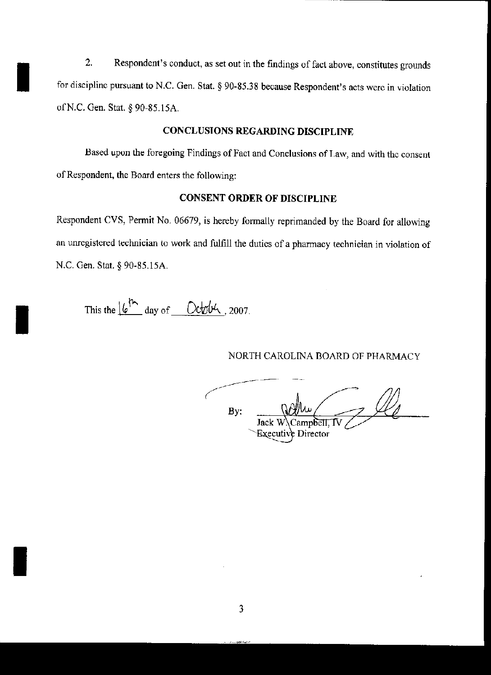2. Respondent's conduct, as set out in the findings of fact above, constitutes grounds<br>for discipline pursuant to N.C. Gen. Stat. § 90-85.38 because Respondent's acts were in violation for discipline pursuant to N.C. Gen. Stat. § 90-85.38 because Respondent's acts were in violation of N.C. Gen. Stat. § 90-85.15A.

# CONCLUSIONS REGARDING DISCIPLINE

Based upon the foregoing Findings of Fact and Conclusions of Law, and with the consent of Respondent, the Board enters the following:

# CONSENT ORDER OF DISCIPLINE

Respondent CVS, Pennit No. 06679, is hereby fonnally reprimanded by the Board for allowing an unregistered technician to work and fulfill the duties of a pharmacy technician in violation of N.C. Gen. Stat. § 90-85.15A.

This the  $\frac{\int (e^{\hbar} \cdot \cdot) \, dx}{\int (e^{\hbar} \cdot \cdot) dx}$  day of <u>October</u>, 2007.

I

I

## NORTH CAROLINA BOARD OF PHARMACY

By: Jack Director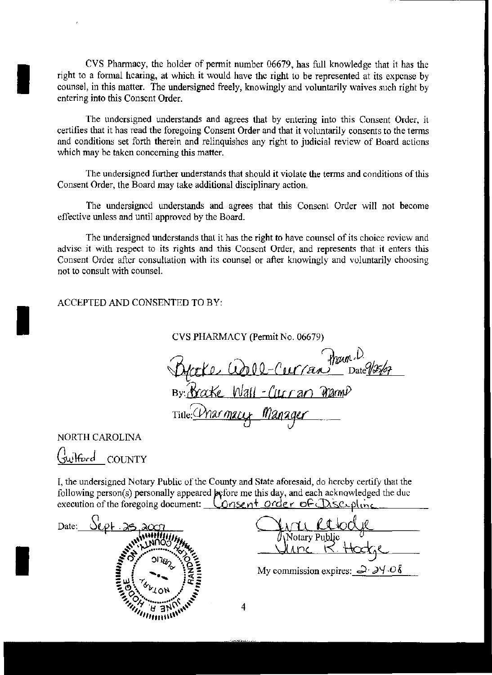CVS Pharmacy, the holder of permit number 06679, has full knowledge that it has the right to a fonnal hearing, at which it would have the right to be represented at its expense by counsel, in this matter. The undersigned freely, knowingly and voluntarily waives such right by entering into this Consent Order.

The undersigned understands and agrees that by entering into this Consent Order, it certifies that it has read the foregoing Consent Order and that it voluntarily consents to the tenns and conditions set forth therein and relinquishes any right to judicial review of Board actions which may be taken concerning this matter.

The undersigned further understands that should it violate the terms and conditions ofthis Consent Order, the Board may take additional disciplinary action.

The undersigned understands and agrees that this Consent Order will not become effective unless and until approved by the Board.

The undersigned understands that it has the right to have counsel of its choice review and advise it with respect to its rights and this Consent Order, and represents that it enters this Consent Order after consultation with its counsel or after knowingly and voluntarily choosing not to consult with counsel.

ACCEPTED AND CONSENTED TO BY,

CVS PHARMACY (Permit No. 06679)

Practe Corrected Tham. D.<br>By Bracke Wall-Curran Mannp<br>Title: Charmacy Manager

NORTH CAROLINA

I

I

I

<u>Guilford</u> COUNTY

I, the undersigned Notary Public of the County and State aforesaid, do hereby certify that the following person(s) personally appeared  $\phi$  portioned methis day, and each acknowledged the duc execution of the foregoing document: Consent order of Discipline



<u>Arrie Retodye</u> Vlime K. Hookje

My commission expires:  $\frac{1}{2}$   $\frac{1}{2}$   $\frac{1}{10}$ 

4